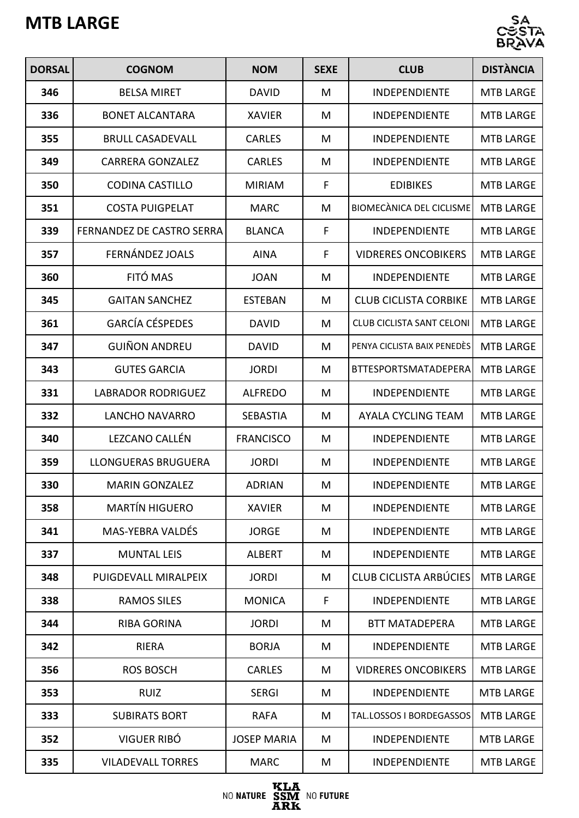## **MTB LARGE**



| <b>DORSAL</b> | <b>COGNOM</b>                    | <b>NOM</b>         | <b>SEXE</b> | <b>CLUB</b>                      | <b>DISTÀNCIA</b> |
|---------------|----------------------------------|--------------------|-------------|----------------------------------|------------------|
| 346           | <b>BELSA MIRET</b>               | <b>DAVID</b>       | M           | <b>INDEPENDIENTE</b>             | <b>MTB LARGE</b> |
| 336           | <b>BONET ALCANTARA</b>           | <b>XAVIER</b>      | M           | <b>INDEPENDIENTE</b>             | <b>MTB LARGE</b> |
| 355           | <b>BRULL CASADEVALL</b>          | <b>CARLES</b>      | M           | <b>INDEPENDIENTE</b>             | <b>MTB LARGE</b> |
| 349           | <b>CARRERA GONZALEZ</b>          | <b>CARLES</b>      | M           | <b>INDEPENDIENTE</b>             | <b>MTB LARGE</b> |
| 350           | <b>CODINA CASTILLO</b>           | <b>MIRIAM</b>      | F           | <b>EDIBIKES</b>                  | <b>MTB LARGE</b> |
| 351           | <b>COSTA PUIGPELAT</b>           | <b>MARC</b>        | M           | <b>BIOMECÀNICA DEL CICLISME</b>  | <b>MTB LARGE</b> |
| 339           | <b>FERNANDEZ DE CASTRO SERRA</b> | <b>BLANCA</b>      | F           | <b>INDEPENDIENTE</b>             | <b>MTB LARGE</b> |
| 357           | FERNÁNDEZ JOALS                  | <b>AINA</b>        | F           | <b>VIDRERES ONCOBIKERS</b>       | <b>MTB LARGE</b> |
| 360           | FITÓ MAS                         | <b>JOAN</b>        | M           | <b>INDEPENDIENTE</b>             | <b>MTB LARGE</b> |
| 345           | <b>GAITAN SANCHEZ</b>            | <b>ESTEBAN</b>     | M           | <b>CLUB CICLISTA CORBIKE</b>     | <b>MTB LARGE</b> |
| 361           | <b>GARCÍA CÉSPEDES</b>           | <b>DAVID</b>       | M           | <b>CLUB CICLISTA SANT CELONI</b> | <b>MTB LARGE</b> |
| 347           | <b>GUIÑON ANDREU</b>             | <b>DAVID</b>       | M           | PENYA CICLISTA BAIX PENEDÈS      | <b>MTB LARGE</b> |
| 343           | <b>GUTES GARCIA</b>              | <b>JORDI</b>       | M           | <b>BTTESPORTSMATADEPERA</b>      | <b>MTB LARGE</b> |
| 331           | <b>LABRADOR RODRIGUEZ</b>        | <b>ALFREDO</b>     | M           | <b>INDEPENDIENTE</b>             | <b>MTB LARGE</b> |
| 332           | <b>LANCHO NAVARRO</b>            | <b>SEBASTIA</b>    | M           | AYALA CYCLING TEAM               | <b>MTB LARGE</b> |
| 340           | LEZCANO CALLÉN                   | <b>FRANCISCO</b>   | M           | INDEPENDIENTE                    | <b>MTB LARGE</b> |
| 359           | <b>LLONGUERAS BRUGUERA</b>       | <b>JORDI</b>       | M           | <b>INDEPENDIENTE</b>             | <b>MTB LARGE</b> |
| 330           | <b>MARIN GONZALEZ</b>            | <b>ADRIAN</b>      | M           | <b>INDEPENDIENTE</b>             | <b>MTB LARGE</b> |
| 358           | <b>MARTÍN HIGUERO</b>            | <b>XAVIER</b>      | M           | <b>INDEPENDIENTE</b>             | <b>MTB LARGE</b> |
| 341           | <b>MAS-YEBRA VALDÉS</b>          | <b>JORGE</b>       | M           | <b>INDEPENDIENTE</b>             | <b>MTB LARGE</b> |
| 337           | <b>MUNTAL LEIS</b>               | <b>ALBERT</b>      | M           | <b>INDEPENDIENTE</b>             | <b>MTB LARGE</b> |
| 348           | PUIGDEVALL MIRALPEIX             | <b>JORDI</b>       | M           | <b>CLUB CICLISTA ARBÚCIES</b>    | <b>MTB LARGE</b> |
| 338           | <b>RAMOS SILES</b>               | <b>MONICA</b>      | F           | <b>INDEPENDIENTE</b>             | <b>MTB LARGE</b> |
| 344           | <b>RIBA GORINA</b>               | <b>JORDI</b>       | M           | <b>BTT MATADEPERA</b>            | <b>MTB LARGE</b> |
| 342           | <b>RIERA</b>                     | <b>BORJA</b>       | M           | <b>INDEPENDIENTE</b>             | <b>MTB LARGE</b> |
| 356           | <b>ROS BOSCH</b>                 | <b>CARLES</b>      | M           | <b>VIDRERES ONCOBIKERS</b>       | <b>MTB LARGE</b> |
| 353           | <b>RUIZ</b>                      | <b>SERGI</b>       | M           | <b>INDEPENDIENTE</b>             | <b>MTB LARGE</b> |
| 333           | <b>SUBIRATS BORT</b>             | <b>RAFA</b>        | M           | TAL.LOSSOS I BORDEGASSOS         | <b>MTB LARGE</b> |
| 352           | VIGUER RIBÓ                      | <b>JOSEP MARIA</b> | M           | <b>INDEPENDIENTE</b>             | <b>MTB LARGE</b> |
| 335           | <b>VILADEVALL TORRES</b>         | <b>MARC</b>        | M           | <b>INDEPENDIENTE</b>             | <b>MTB LARGE</b> |